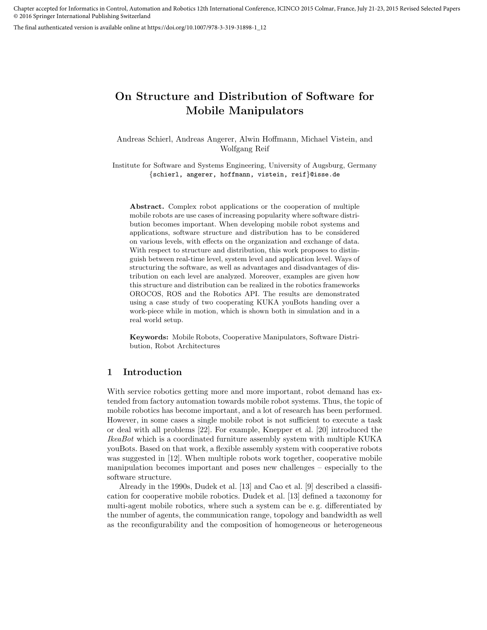Chapter accepted for Informatics in Control, Automation and Robotics 12th International Conference, ICINCO 2015 Colmar, France, July 21-23, 2015 Revised Selected Papers © 2016 Springer International Publishing Switzerland

The final authenticated version is available online at https://doi.org/10.1007/978-3-319-31898-1\_12

# On Structure and Distribution of Software for Mobile Manipulators

Andreas Schierl, Andreas Angerer, Alwin Hoffmann, Michael Vistein, and Wolfgang Reif

Institute for Software and Systems Engineering, University of Augsburg, Germany {schierl, angerer, hoffmann, vistein, reif}@isse.de

Abstract. Complex robot applications or the cooperation of multiple mobile robots are use cases of increasing popularity where software distribution becomes important. When developing mobile robot systems and applications, software structure and distribution has to be considered on various levels, with effects on the organization and exchange of data. With respect to structure and distribution, this work proposes to distinguish between real-time level, system level and application level. Ways of structuring the software, as well as advantages and disadvantages of distribution on each level are analyzed. Moreover, examples are given how this structure and distribution can be realized in the robotics frameworks OROCOS, ROS and the Robotics API. The results are demonstrated using a case study of two cooperating KUKA youBots handing over a work-piece while in motion, which is shown both in simulation and in a real world setup.

Keywords: Mobile Robots, Cooperative Manipulators, Software Distribution, Robot Architectures

## 1 Introduction

With service robotics getting more and more important, robot demand has extended from factory automation towards mobile robot systems. Thus, the topic of mobile robotics has become important, and a lot of research has been performed. However, in some cases a single mobile robot is not sufficient to execute a task or deal with all problems [22]. For example, Knepper et al. [20] introduced the IkeaBot which is a coordinated furniture assembly system with multiple KUKA youBots. Based on that work, a flexible assembly system with cooperative robots was suggested in [12]. When multiple robots work together, cooperative mobile manipulation becomes important and poses new challenges – especially to the software structure.

Already in the 1990s, Dudek et al. [13] and Cao et al. [9] described a classification for cooperative mobile robotics. Dudek et al. [13] defined a taxonomy for multi-agent mobile robotics, where such a system can be e. g. differentiated by the number of agents, the communication range, topology and bandwidth as well as the reconfigurability and the composition of homogeneous or heterogeneous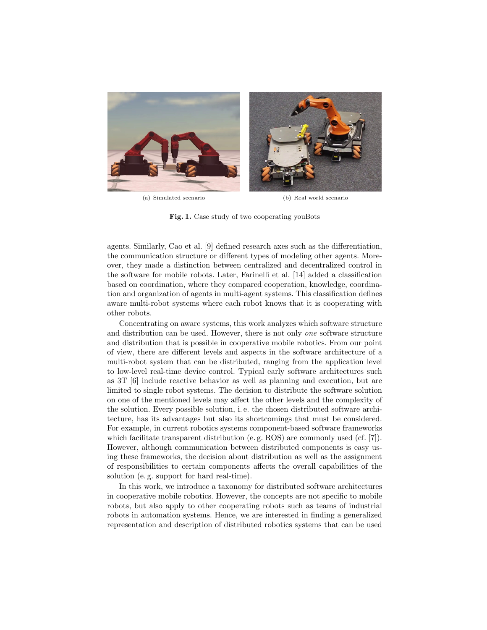

(a) Simulated scenario (b) Real world scenario

Fig. 1. Case study of two cooperating youBots

agents. Similarly, Cao et al. [9] defined research axes such as the differentiation, the communication structure or different types of modeling other agents. Moreover, they made a distinction between centralized and decentralized control in the software for mobile robots. Later, Farinelli et al. [14] added a classification based on coordination, where they compared cooperation, knowledge, coordination and organization of agents in multi-agent systems. This classification defines aware multi-robot systems where each robot knows that it is cooperating with other robots.

Concentrating on aware systems, this work analyzes which software structure and distribution can be used. However, there is not only one software structure and distribution that is possible in cooperative mobile robotics. From our point of view, there are different levels and aspects in the software architecture of a multi-robot system that can be distributed, ranging from the application level to low-level real-time device control. Typical early software architectures such as 3T [6] include reactive behavior as well as planning and execution, but are limited to single robot systems. The decision to distribute the software solution on one of the mentioned levels may affect the other levels and the complexity of the solution. Every possible solution, i. e. the chosen distributed software architecture, has its advantages but also its shortcomings that must be considered. For example, in current robotics systems component-based software frameworks which facilitate transparent distribution (e.g. ROS) are commonly used (cf. [7]). However, although communication between distributed components is easy using these frameworks, the decision about distribution as well as the assignment of responsibilities to certain components affects the overall capabilities of the solution (e. g. support for hard real-time).

In this work, we introduce a taxonomy for distributed software architectures in cooperative mobile robotics. However, the concepts are not specific to mobile robots, but also apply to other cooperating robots such as teams of industrial robots in automation systems. Hence, we are interested in finding a generalized representation and description of distributed robotics systems that can be used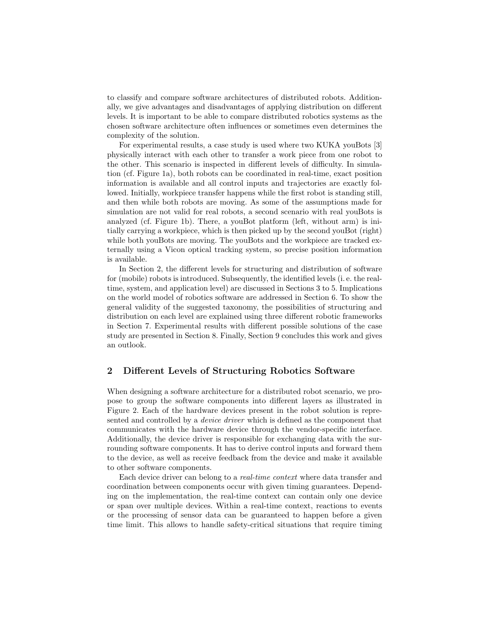to classify and compare software architectures of distributed robots. Additionally, we give advantages and disadvantages of applying distribution on different levels. It is important to be able to compare distributed robotics systems as the chosen software architecture often influences or sometimes even determines the complexity of the solution.

For experimental results, a case study is used where two KUKA youBots [3] physically interact with each other to transfer a work piece from one robot to the other. This scenario is inspected in different levels of difficulty. In simulation (cf. Figure 1a), both robots can be coordinated in real-time, exact position information is available and all control inputs and trajectories are exactly followed. Initially, workpiece transfer happens while the first robot is standing still, and then while both robots are moving. As some of the assumptions made for simulation are not valid for real robots, a second scenario with real youBots is analyzed (cf. Figure 1b). There, a youBot platform (left, without arm) is initially carrying a workpiece, which is then picked up by the second youBot (right) while both youBots are moving. The youBots and the workpiece are tracked externally using a Vicon optical tracking system, so precise position information is available.

In Section 2, the different levels for structuring and distribution of software for (mobile) robots is introduced. Subsequently, the identified levels (i. e. the realtime, system, and application level) are discussed in Sections 3 to 5. Implications on the world model of robotics software are addressed in Section 6. To show the general validity of the suggested taxonomy, the possibilities of structuring and distribution on each level are explained using three different robotic frameworks in Section 7. Experimental results with different possible solutions of the case study are presented in Section 8. Finally, Section 9 concludes this work and gives an outlook.

### 2 Different Levels of Structuring Robotics Software

When designing a software architecture for a distributed robot scenario, we propose to group the software components into different layers as illustrated in Figure 2. Each of the hardware devices present in the robot solution is represented and controlled by a device driver which is defined as the component that communicates with the hardware device through the vendor-specific interface. Additionally, the device driver is responsible for exchanging data with the surrounding software components. It has to derive control inputs and forward them to the device, as well as receive feedback from the device and make it available to other software components.

Each device driver can belong to a real-time context where data transfer and coordination between components occur with given timing guarantees. Depending on the implementation, the real-time context can contain only one device or span over multiple devices. Within a real-time context, reactions to events or the processing of sensor data can be guaranteed to happen before a given time limit. This allows to handle safety-critical situations that require timing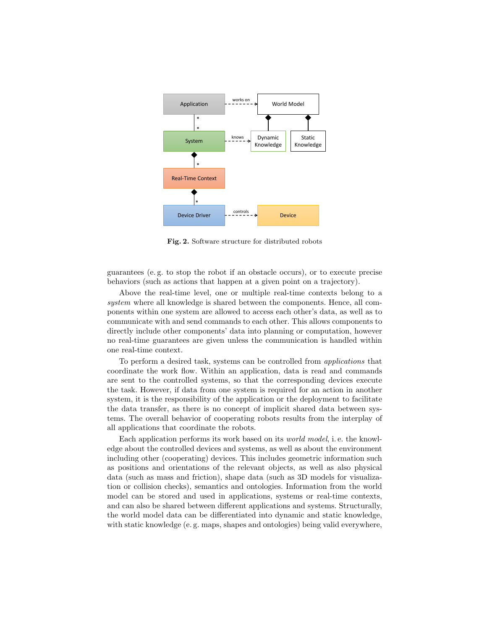

Fig. 2. Software structure for distributed robots

guarantees (e. g. to stop the robot if an obstacle occurs), or to execute precise behaviors (such as actions that happen at a given point on a trajectory).

Above the real-time level, one or multiple real-time contexts belong to a system where all knowledge is shared between the components. Hence, all components within one system are allowed to access each other's data, as well as to communicate with and send commands to each other. This allows components to directly include other components' data into planning or computation, however no real-time guarantees are given unless the communication is handled within one real-time context.

To perform a desired task, systems can be controlled from applications that coordinate the work flow. Within an application, data is read and commands are sent to the controlled systems, so that the corresponding devices execute the task. However, if data from one system is required for an action in another system, it is the responsibility of the application or the deployment to facilitate the data transfer, as there is no concept of implicit shared data between systems. The overall behavior of cooperating robots results from the interplay of all applications that coordinate the robots.

Each application performs its work based on its world model, i. e. the knowledge about the controlled devices and systems, as well as about the environment including other (cooperating) devices. This includes geometric information such as positions and orientations of the relevant objects, as well as also physical data (such as mass and friction), shape data (such as 3D models for visualization or collision checks), semantics and ontologies. Information from the world model can be stored and used in applications, systems or real-time contexts, and can also be shared between different applications and systems. Structurally, the world model data can be differentiated into dynamic and static knowledge, with static knowledge (e. g. maps, shapes and ontologies) being valid everywhere,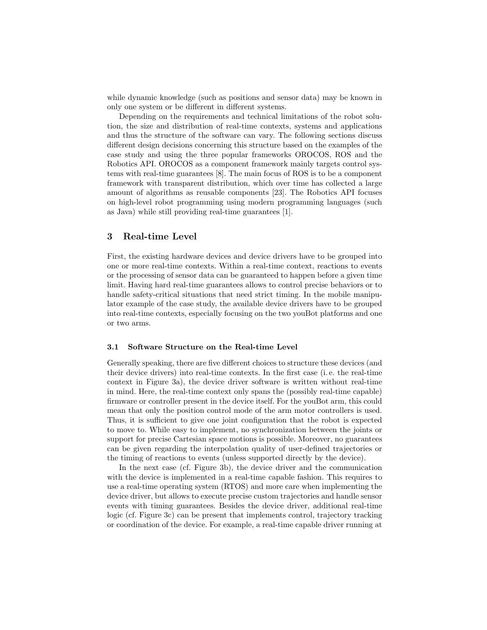while dynamic knowledge (such as positions and sensor data) may be known in only one system or be different in different systems.

Depending on the requirements and technical limitations of the robot solution, the size and distribution of real-time contexts, systems and applications and thus the structure of the software can vary. The following sections discuss different design decisions concerning this structure based on the examples of the case study and using the three popular frameworks OROCOS, ROS and the Robotics API. OROCOS as a component framework mainly targets control systems with real-time guarantees [8]. The main focus of ROS is to be a component framework with transparent distribution, which over time has collected a large amount of algorithms as reusable components [23]. The Robotics API focuses on high-level robot programming using modern programming languages (such as Java) while still providing real-time guarantees [1].

## 3 Real-time Level

First, the existing hardware devices and device drivers have to be grouped into one or more real-time contexts. Within a real-time context, reactions to events or the processing of sensor data can be guaranteed to happen before a given time limit. Having hard real-time guarantees allows to control precise behaviors or to handle safety-critical situations that need strict timing. In the mobile manipulator example of the case study, the available device drivers have to be grouped into real-time contexts, especially focusing on the two youBot platforms and one or two arms.

#### 3.1 Software Structure on the Real-time Level

Generally speaking, there are five different choices to structure these devices (and their device drivers) into real-time contexts. In the first case (i. e. the real-time context in Figure 3a), the device driver software is written without real-time in mind. Here, the real-time context only spans the (possibly real-time capable) firmware or controller present in the device itself. For the youBot arm, this could mean that only the position control mode of the arm motor controllers is used. Thus, it is sufficient to give one joint configuration that the robot is expected to move to. While easy to implement, no synchronization between the joints or support for precise Cartesian space motions is possible. Moreover, no guarantees can be given regarding the interpolation quality of user-defined trajectories or the timing of reactions to events (unless supported directly by the device).

In the next case (cf. Figure 3b), the device driver and the communication with the device is implemented in a real-time capable fashion. This requires to use a real-time operating system (RTOS) and more care when implementing the device driver, but allows to execute precise custom trajectories and handle sensor events with timing guarantees. Besides the device driver, additional real-time logic (cf. Figure 3c) can be present that implements control, trajectory tracking or coordination of the device. For example, a real-time capable driver running at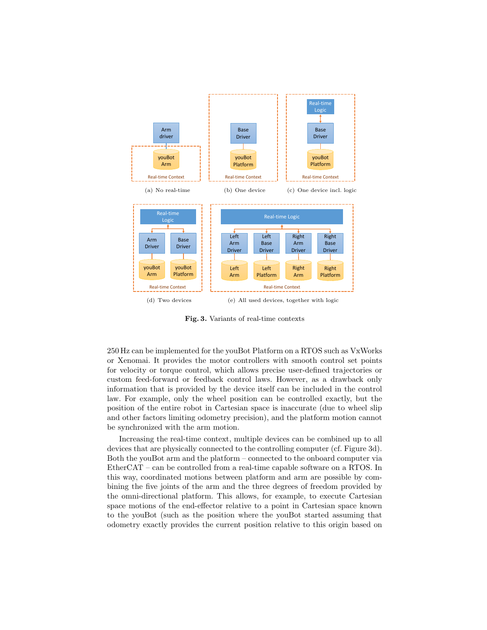

Fig. 3. Variants of real-time contexts

250 Hz can be implemented for the youBot Platform on a RTOS such as VxWorks or Xenomai. It provides the motor controllers with smooth control set points for velocity or torque control, which allows precise user-defined trajectories or custom feed-forward or feedback control laws. However, as a drawback only information that is provided by the device itself can be included in the control law. For example, only the wheel position can be controlled exactly, but the position of the entire robot in Cartesian space is inaccurate (due to wheel slip and other factors limiting odometry precision), and the platform motion cannot be synchronized with the arm motion.

Increasing the real-time context, multiple devices can be combined up to all devices that are physically connected to the controlling computer (cf. Figure 3d). Both the youBot arm and the platform – connected to the onboard computer via EtherCAT – can be controlled from a real-time capable software on a RTOS. In this way, coordinated motions between platform and arm are possible by combining the five joints of the arm and the three degrees of freedom provided by the omni-directional platform. This allows, for example, to execute Cartesian space motions of the end-effector relative to a point in Cartesian space known to the youBot (such as the position where the youBot started assuming that odometry exactly provides the current position relative to this origin based on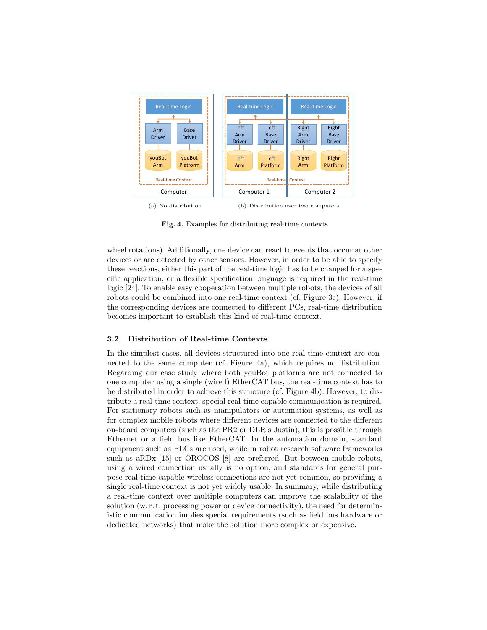

Fig. 4. Examples for distributing real-time contexts

wheel rotations). Additionally, one device can react to events that occur at other devices or are detected by other sensors. However, in order to be able to specify these reactions, either this part of the real-time logic has to be changed for a specific application, or a flexible specification language is required in the real-time logic [24]. To enable easy cooperation between multiple robots, the devices of all robots could be combined into one real-time context (cf. Figure 3e). However, if the corresponding devices are connected to different PCs, real-time distribution becomes important to establish this kind of real-time context.

### 3.2 Distribution of Real-time Contexts

In the simplest cases, all devices structured into one real-time context are connected to the same computer (cf. Figure 4a), which requires no distribution. Regarding our case study where both youBot platforms are not connected to one computer using a single (wired) EtherCAT bus, the real-time context has to be distributed in order to achieve this structure (cf. Figure 4b). However, to distribute a real-time context, special real-time capable communication is required. For stationary robots such as manipulators or automation systems, as well as for complex mobile robots where different devices are connected to the different on-board computers (such as the PR2 or DLR's Justin), this is possible through Ethernet or a field bus like EtherCAT. In the automation domain, standard equipment such as PLCs are used, while in robot research software frameworks such as aRDx [15] or OROCOS [8] are preferred. But between mobile robots, using a wired connection usually is no option, and standards for general purpose real-time capable wireless connections are not yet common, so providing a single real-time context is not yet widely usable. In summary, while distributing a real-time context over multiple computers can improve the scalability of the solution (w. r. t. processing power or device connectivity), the need for deterministic communication implies special requirements (such as field bus hardware or dedicated networks) that make the solution more complex or expensive.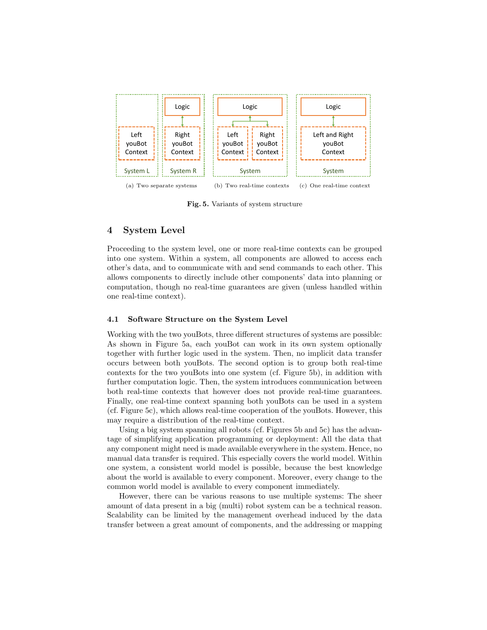

Fig. 5. Variants of system structure

## 4 System Level

Proceeding to the system level, one or more real-time contexts can be grouped into one system. Within a system, all components are allowed to access each other's data, and to communicate with and send commands to each other. This allows components to directly include other components' data into planning or computation, though no real-time guarantees are given (unless handled within one real-time context).

#### 4.1 Software Structure on the System Level

Working with the two youBots, three different structures of systems are possible: As shown in Figure 5a, each youBot can work in its own system optionally together with further logic used in the system. Then, no implicit data transfer occurs between both youBots. The second option is to group both real-time contexts for the two youBots into one system (cf. Figure 5b), in addition with further computation logic. Then, the system introduces communication between both real-time contexts that however does not provide real-time guarantees. Finally, one real-time context spanning both youBots can be used in a system (cf. Figure 5c), which allows real-time cooperation of the youBots. However, this may require a distribution of the real-time context.

Using a big system spanning all robots (cf. Figures 5b and 5c) has the advantage of simplifying application programming or deployment: All the data that any component might need is made available everywhere in the system. Hence, no manual data transfer is required. This especially covers the world model. Within one system, a consistent world model is possible, because the best knowledge about the world is available to every component. Moreover, every change to the common world model is available to every component immediately.

However, there can be various reasons to use multiple systems: The sheer amount of data present in a big (multi) robot system can be a technical reason. Scalability can be limited by the management overhead induced by the data transfer between a great amount of components, and the addressing or mapping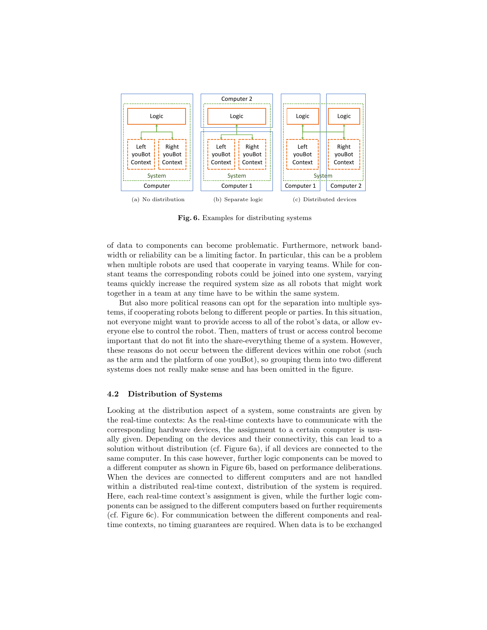

Fig. 6. Examples for distributing systems

of data to components can become problematic. Furthermore, network bandwidth or reliability can be a limiting factor. In particular, this can be a problem when multiple robots are used that cooperate in varying teams. While for constant teams the corresponding robots could be joined into one system, varying teams quickly increase the required system size as all robots that might work together in a team at any time have to be within the same system.

But also more political reasons can opt for the separation into multiple systems, if cooperating robots belong to different people or parties. In this situation, not everyone might want to provide access to all of the robot's data, or allow everyone else to control the robot. Then, matters of trust or access control become important that do not fit into the share-everything theme of a system. However, these reasons do not occur between the different devices within one robot (such as the arm and the platform of one youBot), so grouping them into two different systems does not really make sense and has been omitted in the figure.

#### 4.2 Distribution of Systems

Looking at the distribution aspect of a system, some constraints are given by the real-time contexts: As the real-time contexts have to communicate with the corresponding hardware devices, the assignment to a certain computer is usually given. Depending on the devices and their connectivity, this can lead to a solution without distribution (cf. Figure 6a), if all devices are connected to the same computer. In this case however, further logic components can be moved to a different computer as shown in Figure 6b, based on performance deliberations. When the devices are connected to different computers and are not handled within a distributed real-time context, distribution of the system is required. Here, each real-time context's assignment is given, while the further logic components can be assigned to the different computers based on further requirements (cf. Figure 6c). For communication between the different components and realtime contexts, no timing guarantees are required. When data is to be exchanged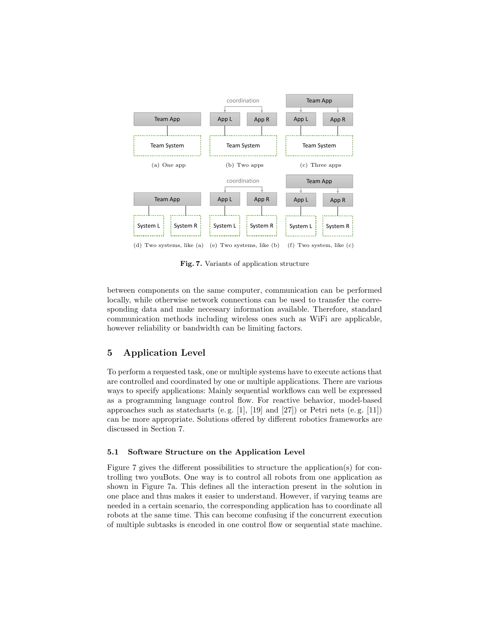

Fig. 7. Variants of application structure

between components on the same computer, communication can be performed locally, while otherwise network connections can be used to transfer the corresponding data and make necessary information available. Therefore, standard communication methods including wireless ones such as WiFi are applicable, however reliability or bandwidth can be limiting factors.

## 5 Application Level

To perform a requested task, one or multiple systems have to execute actions that are controlled and coordinated by one or multiple applications. There are various ways to specify applications: Mainly sequential workflows can well be expressed as a programming language control flow. For reactive behavior, model-based approaches such as statecharts (e. g. [1], [19] and [27]) or Petri nets (e. g. [11]) can be more appropriate. Solutions offered by different robotics frameworks are discussed in Section 7.

#### 5.1 Software Structure on the Application Level

Figure 7 gives the different possibilities to structure the application(s) for controlling two youBots. One way is to control all robots from one application as shown in Figure 7a. This defines all the interaction present in the solution in one place and thus makes it easier to understand. However, if varying teams are needed in a certain scenario, the corresponding application has to coordinate all robots at the same time. This can become confusing if the concurrent execution of multiple subtasks is encoded in one control flow or sequential state machine.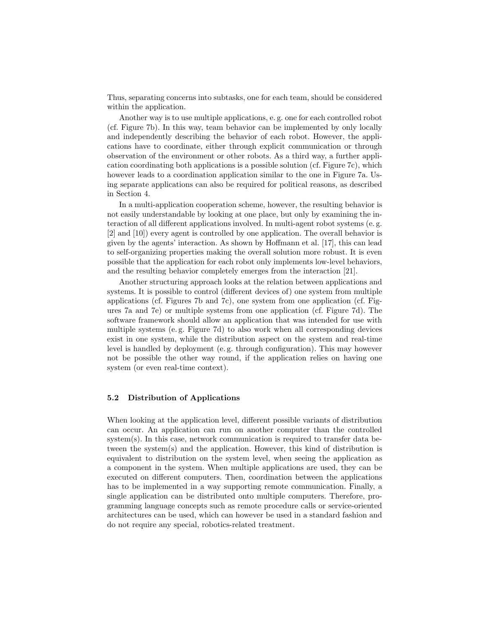Thus, separating concerns into subtasks, one for each team, should be considered within the application.

Another way is to use multiple applications, e. g. one for each controlled robot (cf. Figure 7b). In this way, team behavior can be implemented by only locally and independently describing the behavior of each robot. However, the applications have to coordinate, either through explicit communication or through observation of the environment or other robots. As a third way, a further application coordinating both applications is a possible solution (cf. Figure 7c), which however leads to a coordination application similar to the one in Figure 7a. Using separate applications can also be required for political reasons, as described in Section 4.

In a multi-application cooperation scheme, however, the resulting behavior is not easily understandable by looking at one place, but only by examining the interaction of all different applications involved. In multi-agent robot systems (e. g. [2] and [10]) every agent is controlled by one application. The overall behavior is given by the agents' interaction. As shown by Hoffmann et al. [17], this can lead to self-organizing properties making the overall solution more robust. It is even possible that the application for each robot only implements low-level behaviors, and the resulting behavior completely emerges from the interaction [21].

Another structuring approach looks at the relation between applications and systems. It is possible to control (different devices of) one system from multiple applications (cf. Figures 7b and 7c), one system from one application (cf. Figures 7a and 7e) or multiple systems from one application (cf. Figure 7d). The software framework should allow an application that was intended for use with multiple systems (e. g. Figure 7d) to also work when all corresponding devices exist in one system, while the distribution aspect on the system and real-time level is handled by deployment (e. g. through configuration). This may however not be possible the other way round, if the application relies on having one system (or even real-time context).

### 5.2 Distribution of Applications

When looking at the application level, different possible variants of distribution can occur. An application can run on another computer than the controlled system(s). In this case, network communication is required to transfer data between the system(s) and the application. However, this kind of distribution is equivalent to distribution on the system level, when seeing the application as a component in the system. When multiple applications are used, they can be executed on different computers. Then, coordination between the applications has to be implemented in a way supporting remote communication. Finally, a single application can be distributed onto multiple computers. Therefore, programming language concepts such as remote procedure calls or service-oriented architectures can be used, which can however be used in a standard fashion and do not require any special, robotics-related treatment.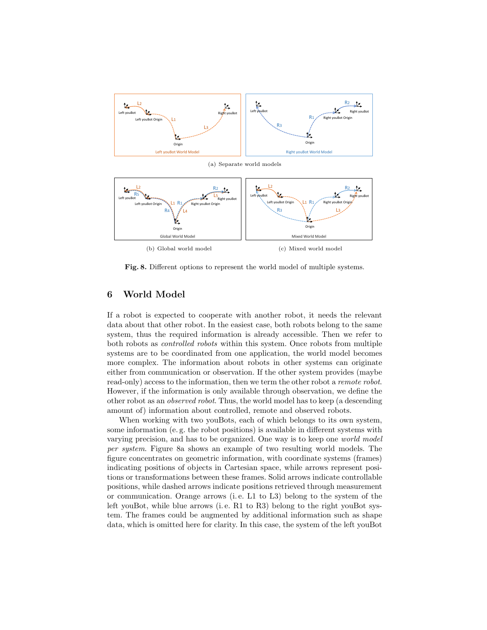

(a) Separate world models



Fig. 8. Different options to represent the world model of multiple systems.

# 6 World Model

If a robot is expected to cooperate with another robot, it needs the relevant data about that other robot. In the easiest case, both robots belong to the same system, thus the required information is already accessible. Then we refer to both robots as controlled robots within this system. Once robots from multiple systems are to be coordinated from one application, the world model becomes more complex. The information about robots in other systems can originate either from communication or observation. If the other system provides (maybe read-only) access to the information, then we term the other robot a *remote robot*. However, if the information is only available through observation, we define the other robot as an observed robot. Thus, the world model has to keep (a descending amount of) information about controlled, remote and observed robots.

When working with two youBots, each of which belongs to its own system, some information (e. g. the robot positions) is available in different systems with varying precision, and has to be organized. One way is to keep one world model per system. Figure 8a shows an example of two resulting world models. The figure concentrates on geometric information, with coordinate systems (frames) indicating positions of objects in Cartesian space, while arrows represent positions or transformations between these frames. Solid arrows indicate controllable positions, while dashed arrows indicate positions retrieved through measurement or communication. Orange arrows (i. e. L1 to L3) belong to the system of the left youBot, while blue arrows (i. e. R1 to R3) belong to the right youBot system. The frames could be augmented by additional information such as shape data, which is omitted here for clarity. In this case, the system of the left youBot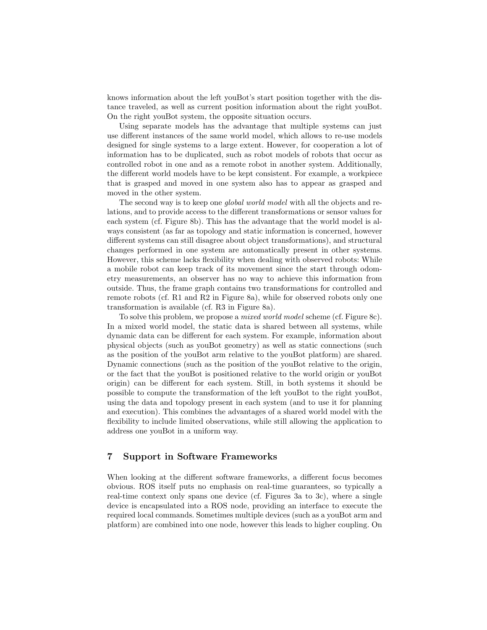knows information about the left youBot's start position together with the distance traveled, as well as current position information about the right youBot. On the right youBot system, the opposite situation occurs.

Using separate models has the advantage that multiple systems can just use different instances of the same world model, which allows to re-use models designed for single systems to a large extent. However, for cooperation a lot of information has to be duplicated, such as robot models of robots that occur as controlled robot in one and as a remote robot in another system. Additionally, the different world models have to be kept consistent. For example, a workpiece that is grasped and moved in one system also has to appear as grasped and moved in the other system.

The second way is to keep one *global world model* with all the objects and relations, and to provide access to the different transformations or sensor values for each system (cf. Figure 8b). This has the advantage that the world model is always consistent (as far as topology and static information is concerned, however different systems can still disagree about object transformations), and structural changes performed in one system are automatically present in other systems. However, this scheme lacks flexibility when dealing with observed robots: While a mobile robot can keep track of its movement since the start through odometry measurements, an observer has no way to achieve this information from outside. Thus, the frame graph contains two transformations for controlled and remote robots (cf. R1 and R2 in Figure 8a), while for observed robots only one transformation is available (cf. R3 in Figure 8a).

To solve this problem, we propose a mixed world model scheme (cf. Figure 8c). In a mixed world model, the static data is shared between all systems, while dynamic data can be different for each system. For example, information about physical objects (such as youBot geometry) as well as static connections (such as the position of the youBot arm relative to the youBot platform) are shared. Dynamic connections (such as the position of the youBot relative to the origin, or the fact that the youBot is positioned relative to the world origin or youBot origin) can be different for each system. Still, in both systems it should be possible to compute the transformation of the left youBot to the right youBot, using the data and topology present in each system (and to use it for planning and execution). This combines the advantages of a shared world model with the flexibility to include limited observations, while still allowing the application to address one youBot in a uniform way.

# 7 Support in Software Frameworks

When looking at the different software frameworks, a different focus becomes obvious. ROS itself puts no emphasis on real-time guarantees, so typically a real-time context only spans one device (cf. Figures 3a to 3c), where a single device is encapsulated into a ROS node, providing an interface to execute the required local commands. Sometimes multiple devices (such as a youBot arm and platform) are combined into one node, however this leads to higher coupling. On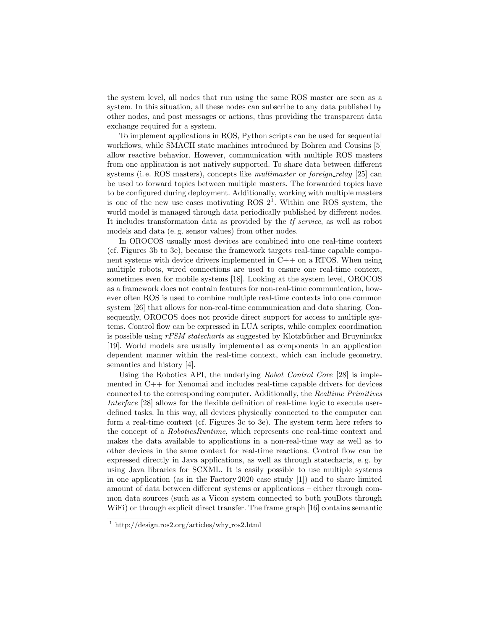the system level, all nodes that run using the same ROS master are seen as a system. In this situation, all these nodes can subscribe to any data published by other nodes, and post messages or actions, thus providing the transparent data exchange required for a system.

To implement applications in ROS, Python scripts can be used for sequential workflows, while SMACH state machines introduced by Bohren and Cousins [5] allow reactive behavior. However, communication with multiple ROS masters from one application is not natively supported. To share data between different systems (i.e. ROS masters), concepts like multimaster or foreign-relay [25] can be used to forward topics between multiple masters. The forwarded topics have to be configured during deployment. Additionally, working with multiple masters is one of the new use cases motivating ROS  $2<sup>1</sup>$ . Within one ROS system, the world model is managed through data periodically published by different nodes. It includes transformation data as provided by the tf service, as well as robot models and data (e. g. sensor values) from other nodes.

In OROCOS usually most devices are combined into one real-time context (cf. Figures 3b to 3e), because the framework targets real-time capable component systems with device drivers implemented in  $C++$  on a RTOS. When using multiple robots, wired connections are used to ensure one real-time context, sometimes even for mobile systems [18]. Looking at the system level, OROCOS as a framework does not contain features for non-real-time communication, however often ROS is used to combine multiple real-time contexts into one common system [26] that allows for non-real-time communication and data sharing. Consequently, OROCOS does not provide direct support for access to multiple systems. Control flow can be expressed in LUA scripts, while complex coordination is possible using  $rFSM$  statecharts as suggested by Klotzbücher and Bruyninckx [19]. World models are usually implemented as components in an application dependent manner within the real-time context, which can include geometry, semantics and history [4].

Using the Robotics API, the underlying Robot Control Core [28] is implemented in C++ for Xenomai and includes real-time capable drivers for devices connected to the corresponding computer. Additionally, the Realtime Primitives Interface [28] allows for the flexible definition of real-time logic to execute userdefined tasks. In this way, all devices physically connected to the computer can form a real-time context (cf. Figures 3c to 3e). The system term here refers to the concept of a RoboticsRuntime, which represents one real-time context and makes the data available to applications in a non-real-time way as well as to other devices in the same context for real-time reactions. Control flow can be expressed directly in Java applications, as well as through statecharts, e. g. by using Java libraries for SCXML. It is easily possible to use multiple systems in one application (as in the Factory 2020 case study [1]) and to share limited amount of data between different systems or applications – either through common data sources (such as a Vicon system connected to both youBots through WiFi) or through explicit direct transfer. The frame graph [16] contains semantic

<sup>&</sup>lt;sup>1</sup> http://design.ros2.org/articles/why\_ros2.html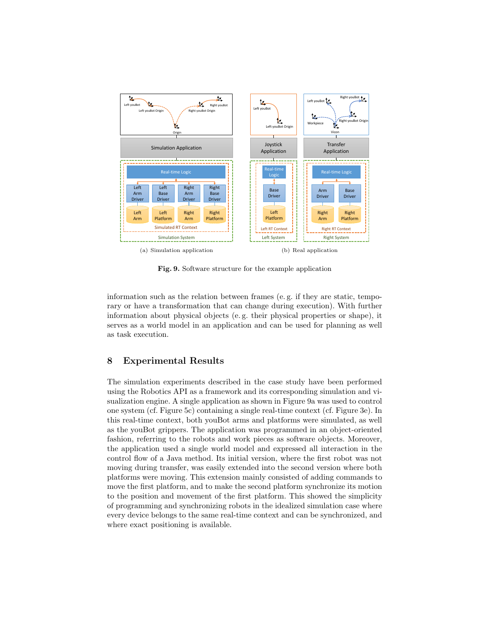

Fig. 9. Software structure for the example application

information such as the relation between frames (e. g. if they are static, temporary or have a transformation that can change during execution). With further information about physical objects (e. g. their physical properties or shape), it serves as a world model in an application and can be used for planning as well as task execution.

## 8 Experimental Results

The simulation experiments described in the case study have been performed using the Robotics API as a framework and its corresponding simulation and visualization engine. A single application as shown in Figure 9a was used to control one system (cf. Figure 5c) containing a single real-time context (cf. Figure 3e). In this real-time context, both youBot arms and platforms were simulated, as well as the youBot grippers. The application was programmed in an object-oriented fashion, referring to the robots and work pieces as software objects. Moreover, the application used a single world model and expressed all interaction in the control flow of a Java method. Its initial version, where the first robot was not moving during transfer, was easily extended into the second version where both platforms were moving. This extension mainly consisted of adding commands to move the first platform, and to make the second platform synchronize its motion to the position and movement of the first platform. This showed the simplicity of programming and synchronizing robots in the idealized simulation case where every device belongs to the same real-time context and can be synchronized, and where exact positioning is available.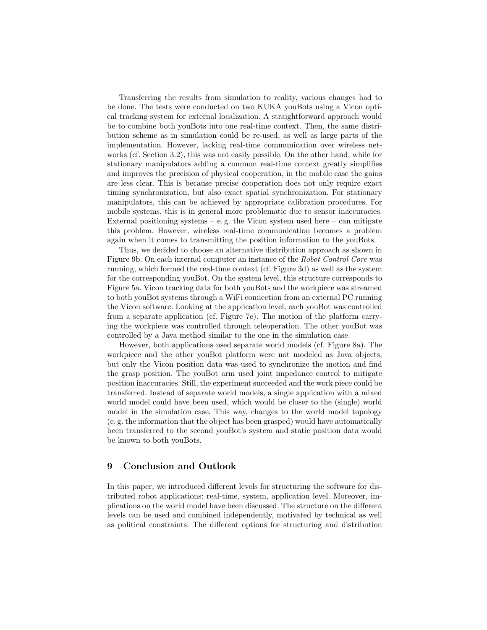Transferring the results from simulation to reality, various changes had to be done. The tests were conducted on two KUKA youBots using a Vicon optical tracking system for external localization. A straightforward approach would be to combine both youBots into one real-time context. Then, the same distribution scheme as in simulation could be re-used, as well as large parts of the implementation. However, lacking real-time communication over wireless networks (cf. Section 3.2), this was not easily possible. On the other hand, while for stationary manipulators adding a common real-time context greatly simplifies and improves the precision of physical cooperation, in the mobile case the gains are less clear. This is because precise cooperation does not only require exact timing synchronization, but also exact spatial synchronization. For stationary manipulators, this can be achieved by appropriate calibration procedures. For mobile systems, this is in general more problematic due to sensor inaccuracies. External positioning systems – e.g. the Vicon system used here – can mitigate this problem. However, wireless real-time communication becomes a problem again when it comes to transmitting the position information to the youBots.

Thus, we decided to choose an alternative distribution approach as shown in Figure 9b. On each internal computer an instance of the Robot Control Core was running, which formed the real-time context (cf. Figure 3d) as well as the system for the corresponding youBot. On the system level, this structure corresponds to Figure 5a. Vicon tracking data for both youBots and the workpiece was streamed to both youBot systems through a WiFi connection from an external PC running the Vicon software. Looking at the application level, each youBot was controlled from a separate application (cf. Figure 7e). The motion of the platform carrying the workpiece was controlled through teleoperation. The other youBot was controlled by a Java method similar to the one in the simulation case.

However, both applications used separate world models (cf. Figure 8a). The workpiece and the other youBot platform were not modeled as Java objects, but only the Vicon position data was used to synchronize the motion and find the grasp position. The youBot arm used joint impedance control to mitigate position inaccuracies. Still, the experiment succeeded and the work piece could be transferred. Instead of separate world models, a single application with a mixed world model could have been used, which would be closer to the (single) world model in the simulation case. This way, changes to the world model topology (e. g. the information that the object has been grasped) would have automatically been transferred to the second youBot's system and static position data would be known to both youBots.

## 9 Conclusion and Outlook

In this paper, we introduced different levels for structuring the software for distributed robot applications: real-time, system, application level. Moreover, implications on the world model have been discussed. The structure on the different levels can be used and combined independently, motivated by technical as well as political constraints. The different options for structuring and distribution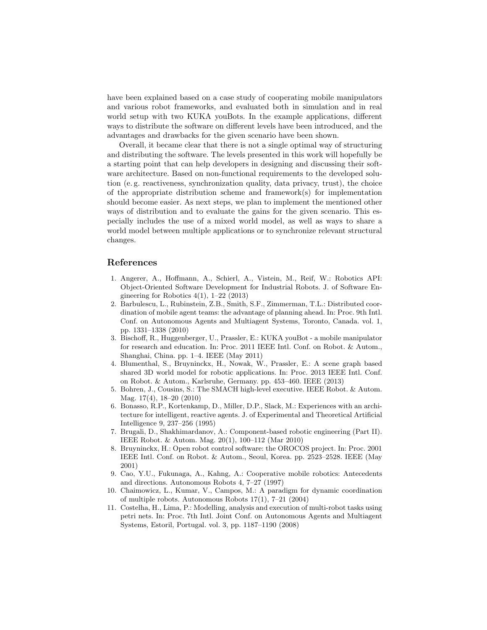have been explained based on a case study of cooperating mobile manipulators and various robot frameworks, and evaluated both in simulation and in real world setup with two KUKA youBots. In the example applications, different ways to distribute the software on different levels have been introduced, and the advantages and drawbacks for the given scenario have been shown.

Overall, it became clear that there is not a single optimal way of structuring and distributing the software. The levels presented in this work will hopefully be a starting point that can help developers in designing and discussing their software architecture. Based on non-functional requirements to the developed solution (e. g. reactiveness, synchronization quality, data privacy, trust), the choice of the appropriate distribution scheme and framework(s) for implementation should become easier. As next steps, we plan to implement the mentioned other ways of distribution and to evaluate the gains for the given scenario. This especially includes the use of a mixed world model, as well as ways to share a world model between multiple applications or to synchronize relevant structural changes.

## References

- 1. Angerer, A., Hoffmann, A., Schierl, A., Vistein, M., Reif, W.: Robotics API: Object-Oriented Software Development for Industrial Robots. J. of Software Engineering for Robotics  $4(1)$ ,  $1-22$   $(2013)$
- 2. Barbulescu, L., Rubinstein, Z.B., Smith, S.F., Zimmerman, T.L.: Distributed coordination of mobile agent teams: the advantage of planning ahead. In: Proc. 9th Intl. Conf. on Autonomous Agents and Multiagent Systems, Toronto, Canada. vol. 1, pp. 1331–1338 (2010)
- 3. Bischoff, R., Huggenberger, U., Prassler, E.: KUKA youBot a mobile manipulator for research and education. In: Proc. 2011 IEEE Intl. Conf. on Robot. & Autom., Shanghai, China. pp. 1–4. IEEE (May 2011)
- 4. Blumenthal, S., Bruyninckx, H., Nowak, W., Prassler, E.: A scene graph based shared 3D world model for robotic applications. In: Proc. 2013 IEEE Intl. Conf. on Robot. & Autom., Karlsruhe, Germany. pp. 453–460. IEEE (2013)
- 5. Bohren, J., Cousins, S.: The SMACH high-level executive. IEEE Robot. & Autom. Mag. 17(4), 18–20 (2010)
- 6. Bonasso, R.P., Kortenkamp, D., Miller, D.P., Slack, M.: Experiences with an architecture for intelligent, reactive agents. J. of Experimental and Theoretical Artificial Intelligence 9, 237–256 (1995)
- 7. Brugali, D., Shakhimardanov, A.: Component-based robotic engineering (Part II). IEEE Robot. & Autom. Mag. 20(1), 100–112 (Mar 2010)
- 8. Bruyninckx, H.: Open robot control software: the OROCOS project. In: Proc. 2001 IEEE Intl. Conf. on Robot. & Autom., Seoul, Korea. pp. 2523–2528. IEEE (May 2001)
- 9. Cao, Y.U., Fukunaga, A., Kahng, A.: Cooperative mobile robotics: Antecedents and directions. Autonomous Robots 4, 7–27 (1997)
- 10. Chaimowicz, L., Kumar, V., Campos, M.: A paradigm for dynamic coordination of multiple robots. Autonomous Robots 17(1), 7–21 (2004)
- 11. Costelha, H., Lima, P.: Modelling, analysis and execution of multi-robot tasks using petri nets. In: Proc. 7th Intl. Joint Conf. on Autonomous Agents and Multiagent Systems, Estoril, Portugal. vol. 3, pp. 1187–1190 (2008)